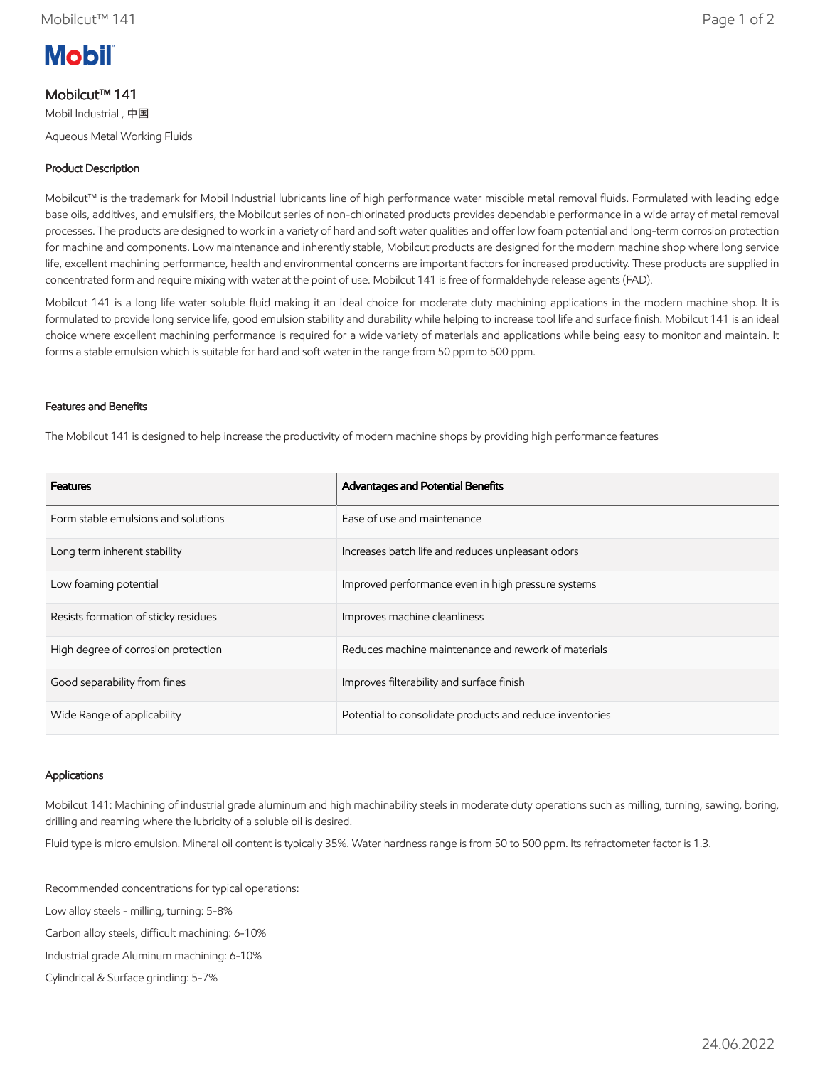

# Mobilcut™ 141

Mobil Industrial , 中国

Aqueous Metal Working Fluids

## Product Description

Mobilcut™ is the trademark for Mobil Industrial lubricants line of high performance water miscible metal removal fluids. Formulated with leading edge base oils, additives, and emulsifiers, the Mobilcut series of non-chlorinated products provides dependable performance in a wide array of metal removal processes. The products are designed to work in a variety of hard and soft water qualities and offer low foam potential and long-term corrosion protection for machine and components. Low maintenance and inherently stable, Mobilcut products are designed for the modern machine shop where long service life, excellent machining performance, health and environmental concerns are important factors for increased productivity. These products are supplied in concentrated form and require mixing with water at the point of use. Mobilcut 141 is free of formaldehyde release agents (FAD).

Mobilcut 141 is a long life water soluble fluid making it an ideal choice for moderate duty machining applications in the modern machine shop. It is formulated to provide long service life, good emulsion stability and durability while helping to increase tool life and surface finish. Mobilcut 141 is an ideal choice where excellent machining performance is required for a wide variety of materials and applications while being easy to monitor and maintain. It forms a stable emulsion which is suitable for hard and soft water in the range from 50 ppm to 500 ppm.

#### Features and Benefits

The Mobilcut 141 is designed to help increase the productivity of modern machine shops by providing high performance features

| <b>Features</b>                      | Advantages and Potential Benefits                        |
|--------------------------------------|----------------------------------------------------------|
| Form stable emulsions and solutions  | Ease of use and maintenance                              |
| Long term inherent stability         | Increases batch life and reduces unpleasant odors        |
| Low foaming potential                | Improved performance even in high pressure systems       |
| Resists formation of sticky residues | Improves machine cleanliness                             |
| High degree of corrosion protection  | Reduces machine maintenance and rework of materials      |
| Good separability from fines         | Improves filterability and surface finish                |
| Wide Range of applicability          | Potential to consolidate products and reduce inventories |

#### Applications

Mobilcut 141: Machining of industrial grade aluminum and high machinability steels in moderate duty operations such as milling, turning, sawing, boring, drilling and reaming where the lubricity of a soluble oil is desired.

Fluid type is micro emulsion. Mineral oil content is typically 35%. Water hardness range is from 50 to 500 ppm. Its refractometer factor is 1.3.

Recommended concentrations for typical operations:

Low alloy steels - milling, turning: 5-8%

Carbon alloy steels, difficult machining: 6-10%

Industrial grade Aluminum machining: 6-10%

Cylindrical & Surface grinding: 5-7%